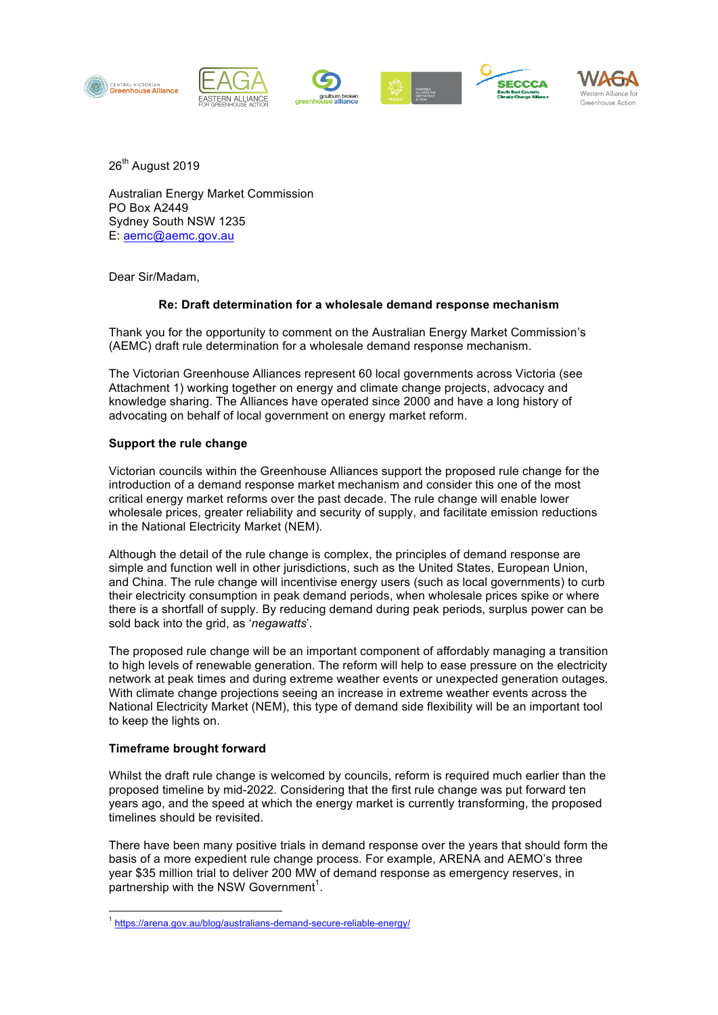



26<sup>th</sup> August 2019

Australian Energy Market Commission PO Box A2449 Sydney South NSW 1235 E: aemc@aemc.gov.au

Dear Sir/Madam,

## **Re: Draft determination for a wholesale demand response mechanism**

Thank you for the opportunity to comment on the Australian Energy Market Commission's (AEMC) draft rule determination for a wholesale demand response mechanism.

The Victorian Greenhouse Alliances represent 60 local governments across Victoria (see Attachment 1) working together on energy and climate change projects, advocacy and knowledge sharing. The Alliances have operated since 2000 and have a long history of advocating on behalf of local government on energy market reform.

## **Support the rule change**

Victorian councils within the Greenhouse Alliances support the proposed rule change for the introduction of a demand response market mechanism and consider this one of the most critical energy market reforms over the past decade. The rule change will enable lower wholesale prices, greater reliability and security of supply, and facilitate emission reductions in the National Electricity Market (NEM).

Although the detail of the rule change is complex, the principles of demand response are simple and function well in other jurisdictions, such as the United States, European Union, and China. The rule change will incentivise energy users (such as local governments) to curb their electricity consumption in peak demand periods, when wholesale prices spike or where there is a shortfall of supply. By reducing demand during peak periods, surplus power can be sold back into the grid, as '*negawatts*'.

The proposed rule change will be an important component of affordably managing a transition to high levels of renewable generation. The reform will help to ease pressure on the electricity network at peak times and during extreme weather events or unexpected generation outages. With climate change projections seeing an increase in extreme weather events across the National Electricity Market (NEM), this type of demand side flexibility will be an important tool to keep the lights on.

#### **Timeframe brought forward**

 

Whilst the draft rule change is welcomed by councils, reform is required much earlier than the proposed timeline by mid-2022. Considering that the first rule change was put forward ten years ago, and the speed at which the energy market is currently transforming, the proposed timelines should be revisited.

There have been many positive trials in demand response over the years that should form the basis of a more expedient rule change process. For example, ARENA and AEMO's three year \$35 million trial to deliver 200 MW of demand response as emergency reserves, in partnership with the NSW Government<sup>1</sup>.

<sup>&</sup>lt;sup>1</sup> https://arena.gov.au/blog/australians-demand-secure-reliable-energy/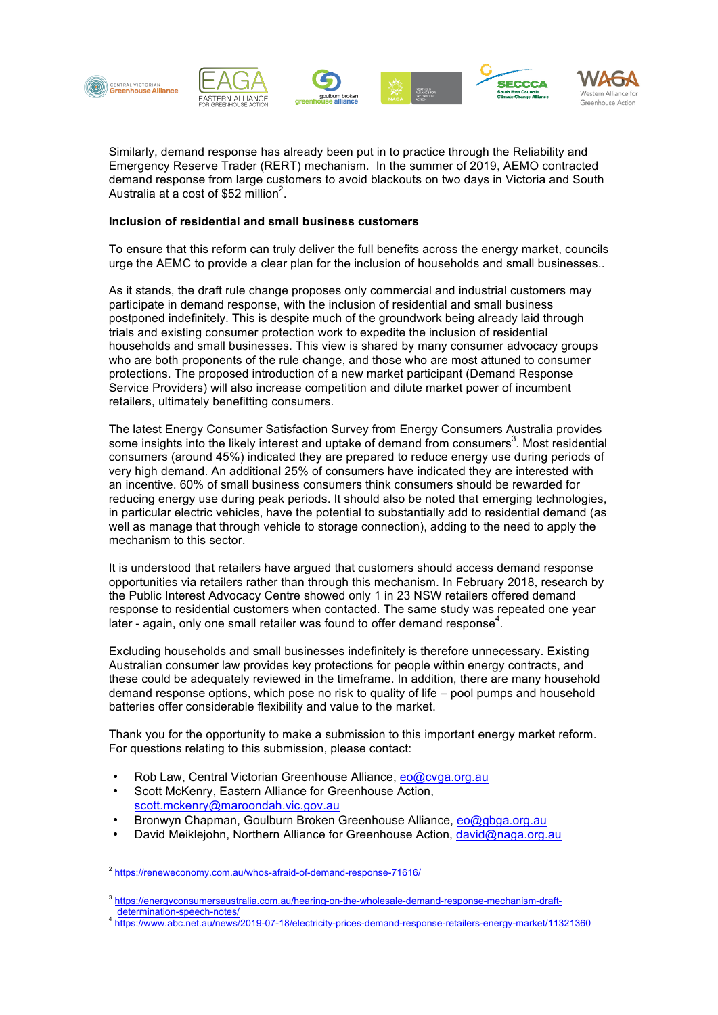

Similarly, demand response has already been put in to practice through the Reliability and Emergency Reserve Trader (RERT) mechanism. In the summer of 2019, AEMO contracted demand response from large customers to avoid blackouts on two days in Victoria and South Australia at a cost of \$52 million<sup>2</sup>.

### **Inclusion of residential and small business customers**

To ensure that this reform can truly deliver the full benefits across the energy market, councils urge the AEMC to provide a clear plan for the inclusion of households and small businesses..

As it stands, the draft rule change proposes only commercial and industrial customers may participate in demand response, with the inclusion of residential and small business postponed indefinitely. This is despite much of the groundwork being already laid through trials and existing consumer protection work to expedite the inclusion of residential households and small businesses. This view is shared by many consumer advocacy groups who are both proponents of the rule change, and those who are most attuned to consumer protections. The proposed introduction of a new market participant (Demand Response Service Providers) will also increase competition and dilute market power of incumbent retailers, ultimately benefitting consumers.

The latest Energy Consumer Satisfaction Survey from Energy Consumers Australia provides some insights into the likely interest and uptake of demand from consumers<sup>3</sup>. Most residential consumers (around 45%) indicated they are prepared to reduce energy use during periods of very high demand. An additional 25% of consumers have indicated they are interested with an incentive. 60% of small business consumers think consumers should be rewarded for reducing energy use during peak periods. It should also be noted that emerging technologies, in particular electric vehicles, have the potential to substantially add to residential demand (as well as manage that through vehicle to storage connection), adding to the need to apply the mechanism to this sector.

It is understood that retailers have argued that customers should access demand response opportunities via retailers rather than through this mechanism. In February 2018, research by the Public Interest Advocacy Centre showed only 1 in 23 NSW retailers offered demand response to residential customers when contacted. The same study was repeated one year later - again, only one small retailer was found to offer demand response<sup>4</sup>.

Excluding households and small businesses indefinitely is therefore unnecessary. Existing Australian consumer law provides key protections for people within energy contracts, and these could be adequately reviewed in the timeframe. In addition, there are many household demand response options, which pose no risk to quality of life – pool pumps and household batteries offer considerable flexibility and value to the market.

Thank you for the opportunity to make a submission to this important energy market reform. For questions relating to this submission, please contact:

- Rob Law, Central Victorian Greenhouse Alliance, eo@cvga.org.au
- Scott McKenry, Eastern Alliance for Greenhouse Action, scott.mckenry@maroondah.vic.gov.au
- Bronwyn Chapman, Goulburn Broken Greenhouse Alliance, eo@gbga.org.au
- David Meiklejohn, Northern Alliance for Greenhouse Action, david@naga.org.au

 <sup>2</sup> https://reneweconomy.com.au/whos-afraid-of-demand-response-71616/

<sup>3</sup> https://energyconsumersaustralia.com.au/hearing-on-the-wholesale-demand-response-mechanism-draft-

determination-speech-notes/<br>4 https://www.abc.net.au/news/2019-07-18/electricity-prices-demand-response-retailers-energy-market/11321360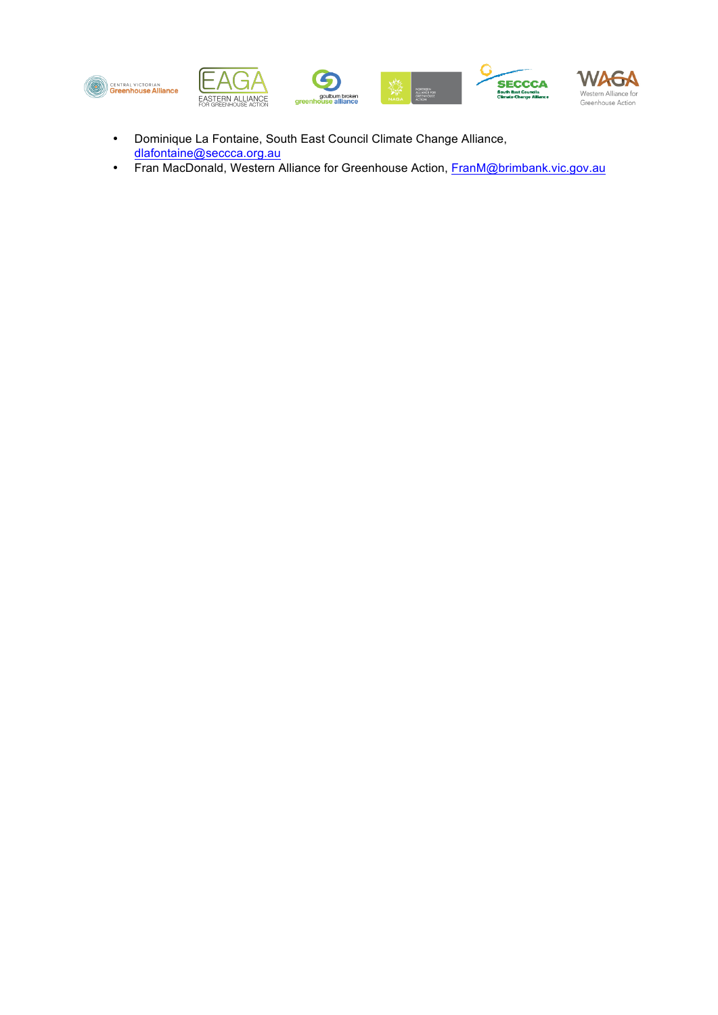

- Dominique La Fontaine, South East Council Climate Change Alliance, dlafontaine@seccca.org.au
- Fran MacDonald, Western Alliance for Greenhouse Action, FranM@brimbank.vic.gov.au